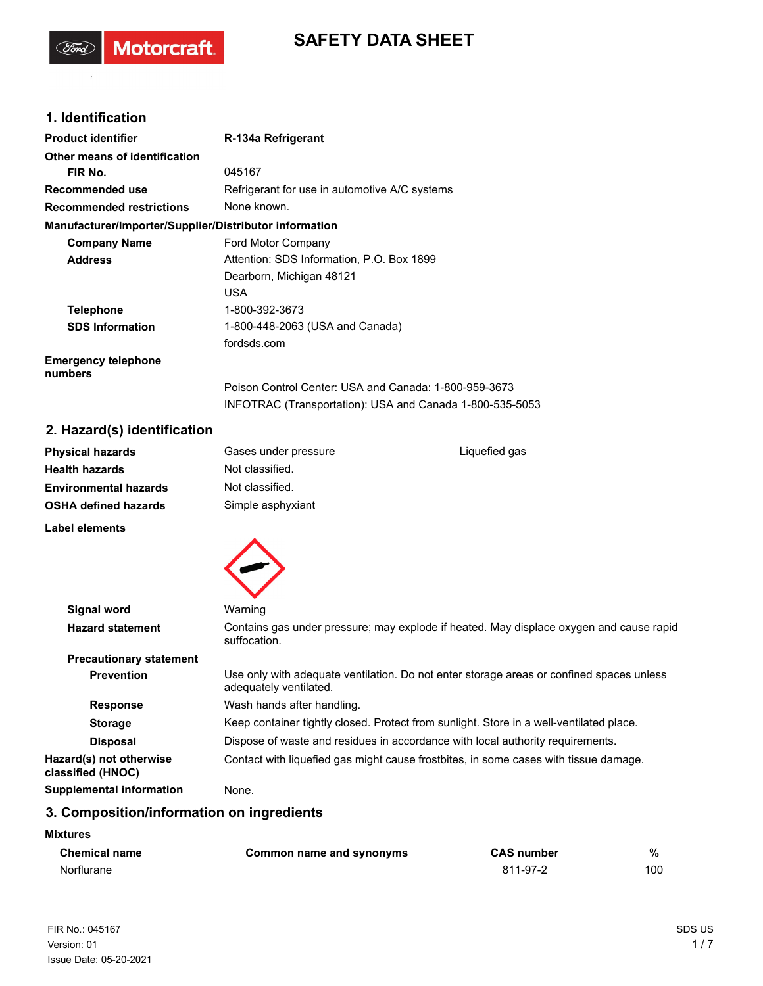# **SAFETY DATA SHEET**

## **1. Identification**

(Ford)

Motorcraft.

| <b>Product identifier</b>                              | R-134a Refrigerant                                       |
|--------------------------------------------------------|----------------------------------------------------------|
| Other means of identification                          |                                                          |
| FIR No.                                                | 045167                                                   |
| Recommended use                                        | Refrigerant for use in automotive A/C systems            |
| <b>Recommended restrictions</b>                        | None known.                                              |
| Manufacturer/Importer/Supplier/Distributor information |                                                          |
| <b>Company Name</b>                                    | Ford Motor Company                                       |
| <b>Address</b>                                         | Attention: SDS Information, P.O. Box 1899                |
|                                                        | Dearborn, Michigan 48121                                 |
|                                                        | USA                                                      |
| <b>Telephone</b>                                       | 1-800-392-3673                                           |
| <b>SDS Information</b>                                 | 1-800-448-2063 (USA and Canada)                          |
|                                                        | fordsds.com                                              |
| <b>Emergency telephone</b><br>numbers                  |                                                          |
|                                                        | Poison Control Center: USA and Canada: 1-800-959-3673    |
|                                                        | INFOTRAC (Transportation): USA and Canada 1-800-535-5053 |

## **2. Hazard(s) identification**

| <b>Physical hazards</b>      | Gases under pressure | Liquefied gas |  |
|------------------------------|----------------------|---------------|--|
| <b>Health hazards</b>        | Not classified.      |               |  |
| <b>Environmental hazards</b> | Not classified.      |               |  |
| <b>OSHA defined hazards</b>  | Simple asphyxiant    |               |  |
| <b>Label elements</b>        |                      |               |  |
|                              |                      |               |  |



| <b>Signal word</b>                           | Warning                                                                                                            |
|----------------------------------------------|--------------------------------------------------------------------------------------------------------------------|
| <b>Hazard statement</b>                      | Contains gas under pressure; may explode if heated. May displace oxygen and cause rapid<br>suffocation.            |
| <b>Precautionary statement</b>               |                                                                                                                    |
| <b>Prevention</b>                            | Use only with adequate ventilation. Do not enter storage areas or confined spaces unless<br>adequately ventilated. |
| <b>Response</b>                              | Wash hands after handling.                                                                                         |
| <b>Storage</b>                               | Keep container tightly closed. Protect from sunlight. Store in a well-ventilated place.                            |
| <b>Disposal</b>                              | Dispose of waste and residues in accordance with local authority requirements.                                     |
| Hazard(s) not otherwise<br>classified (HNOC) | Contact with liquefied gas might cause frostbites, in some cases with tissue damage.                               |
| <b>Supplemental information</b>              | None.                                                                                                              |
|                                              |                                                                                                                    |

## **3. Composition/information on ingredients**

#### **Mixtures**

| <b>Chemical name</b> | Common name and synonyms | <b>CAS number</b> | %   |
|----------------------|--------------------------|-------------------|-----|
| Norflurane           |                          | 811-97-2          | 100 |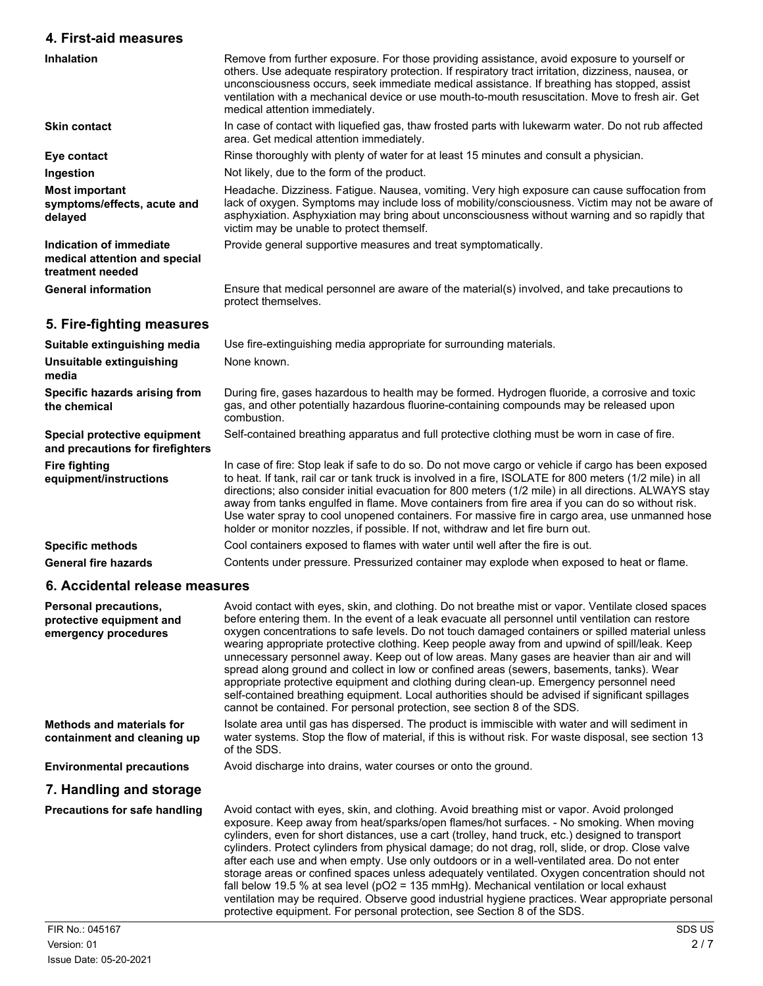## **4. First-aid measures**

| 4. FII St-diu Illudsulus                                                     |                                                                                                                                                                                                                                                                                                                                                                                                                                                                                                                                                                                                                   |
|------------------------------------------------------------------------------|-------------------------------------------------------------------------------------------------------------------------------------------------------------------------------------------------------------------------------------------------------------------------------------------------------------------------------------------------------------------------------------------------------------------------------------------------------------------------------------------------------------------------------------------------------------------------------------------------------------------|
| <b>Inhalation</b>                                                            | Remove from further exposure. For those providing assistance, avoid exposure to yourself or<br>others. Use adequate respiratory protection. If respiratory tract irritation, dizziness, nausea, or<br>unconsciousness occurs, seek immediate medical assistance. If breathing has stopped, assist<br>ventilation with a mechanical device or use mouth-to-mouth resuscitation. Move to fresh air. Get<br>medical attention immediately.                                                                                                                                                                           |
| <b>Skin contact</b>                                                          | In case of contact with liquefied gas, thaw frosted parts with lukewarm water. Do not rub affected<br>area. Get medical attention immediately.                                                                                                                                                                                                                                                                                                                                                                                                                                                                    |
| Eye contact                                                                  | Rinse thoroughly with plenty of water for at least 15 minutes and consult a physician.                                                                                                                                                                                                                                                                                                                                                                                                                                                                                                                            |
| Ingestion                                                                    | Not likely, due to the form of the product.                                                                                                                                                                                                                                                                                                                                                                                                                                                                                                                                                                       |
| <b>Most important</b><br>symptoms/effects, acute and<br>delayed              | Headache. Dizziness. Fatigue. Nausea, vomiting. Very high exposure can cause suffocation from<br>lack of oxygen. Symptoms may include loss of mobility/consciousness. Victim may not be aware of<br>asphyxiation. Asphyxiation may bring about unconsciousness without warning and so rapidly that<br>victim may be unable to protect themself.                                                                                                                                                                                                                                                                   |
| Indication of immediate<br>medical attention and special<br>treatment needed | Provide general supportive measures and treat symptomatically.                                                                                                                                                                                                                                                                                                                                                                                                                                                                                                                                                    |
| <b>General information</b>                                                   | Ensure that medical personnel are aware of the material(s) involved, and take precautions to<br>protect themselves.                                                                                                                                                                                                                                                                                                                                                                                                                                                                                               |
| 5. Fire-fighting measures                                                    |                                                                                                                                                                                                                                                                                                                                                                                                                                                                                                                                                                                                                   |
| Suitable extinguishing media                                                 | Use fire-extinguishing media appropriate for surrounding materials.                                                                                                                                                                                                                                                                                                                                                                                                                                                                                                                                               |
| Unsuitable extinguishing<br>media                                            | None known.                                                                                                                                                                                                                                                                                                                                                                                                                                                                                                                                                                                                       |
| Specific hazards arising from<br>the chemical                                | During fire, gases hazardous to health may be formed. Hydrogen fluoride, a corrosive and toxic<br>gas, and other potentially hazardous fluorine-containing compounds may be released upon<br>combustion.                                                                                                                                                                                                                                                                                                                                                                                                          |
| Special protective equipment<br>and precautions for firefighters             | Self-contained breathing apparatus and full protective clothing must be worn in case of fire.                                                                                                                                                                                                                                                                                                                                                                                                                                                                                                                     |
| <b>Fire fighting</b><br>equipment/instructions                               | In case of fire: Stop leak if safe to do so. Do not move cargo or vehicle if cargo has been exposed<br>to heat. If tank, rail car or tank truck is involved in a fire, ISOLATE for 800 meters (1/2 mile) in all<br>directions; also consider initial evacuation for 800 meters (1/2 mile) in all directions. ALWAYS stay<br>away from tanks engulfed in flame. Move containers from fire area if you can do so without risk.<br>Use water spray to cool unopened containers. For massive fire in cargo area, use unmanned hose<br>holder or monitor nozzles, if possible. If not, withdraw and let fire burn out. |
| <b>Specific methods</b>                                                      | Cool containers exposed to flames with water until well after the fire is out.                                                                                                                                                                                                                                                                                                                                                                                                                                                                                                                                    |
| <b>General fire hazards</b>                                                  | Contents under pressure. Pressurized container may explode when exposed to heat or flame.                                                                                                                                                                                                                                                                                                                                                                                                                                                                                                                         |
| 6. Accidental release measures                                               |                                                                                                                                                                                                                                                                                                                                                                                                                                                                                                                                                                                                                   |

| Personal precautions,<br>protective equipment and<br>emergency procedures | Avoid contact with eyes, skin, and clothing. Do not breathe mist or vapor. Ventilate closed spaces<br>before entering them. In the event of a leak evacuate all personnel until ventilation can restore<br>oxygen concentrations to safe levels. Do not touch damaged containers or spilled material unless<br>wearing appropriate protective clothing. Keep people away from and upwind of spill/leak. Keep<br>unnecessary personnel away. Keep out of low areas. Many gases are heavier than air and will<br>spread along ground and collect in low or confined areas (sewers, basements, tanks). Wear<br>appropriate protective equipment and clothing during clean-up. Emergency personnel need<br>self-contained breathing equipment. Local authorities should be advised if significant spillages<br>cannot be contained. For personal protection, see section 8 of the SDS. |
|---------------------------------------------------------------------------|------------------------------------------------------------------------------------------------------------------------------------------------------------------------------------------------------------------------------------------------------------------------------------------------------------------------------------------------------------------------------------------------------------------------------------------------------------------------------------------------------------------------------------------------------------------------------------------------------------------------------------------------------------------------------------------------------------------------------------------------------------------------------------------------------------------------------------------------------------------------------------|
| Methods and materials for<br>containment and cleaning up                  | Isolate area until gas has dispersed. The product is immiscible with water and will sediment in<br>water systems. Stop the flow of material, if this is without risk. For waste disposal, see section 13<br>of the SDS.                                                                                                                                                                                                                                                                                                                                                                                                                                                                                                                                                                                                                                                            |
| <b>Environmental precautions</b>                                          | Avoid discharge into drains, water courses or onto the ground.                                                                                                                                                                                                                                                                                                                                                                                                                                                                                                                                                                                                                                                                                                                                                                                                                     |
| 7. Handling and storage                                                   |                                                                                                                                                                                                                                                                                                                                                                                                                                                                                                                                                                                                                                                                                                                                                                                                                                                                                    |
| <b>Precautions for safe handling</b>                                      | Avoid contact with eyes, skin, and clothing. Avoid breathing mist or vapor. Avoid prolonged<br>exposure. Keep away from heat/sparks/open flames/hot surfaces. - No smoking. When moving<br>cylinders, even for short distances, use a cart (trolley, hand truck, etc.) designed to transport<br>cylinders. Protect cylinders from physical damage; do not drag, roll, slide, or drop. Close valve<br>after each use and when empty. Use only outdoors or in a well-ventilated area. Do not enter<br>storage areas or confined spaces unless adequately ventilated. Oxygen concentration should not<br>fall below 19.5 % at sea level ( $pO2 = 135$ mmHg). Mechanical ventilation or local exhaust<br>ventilation may be required. Observe good industrial hygiene practices. Wear appropriate personal<br>protective equipment. For personal protection, see Section 8 of the SDS. |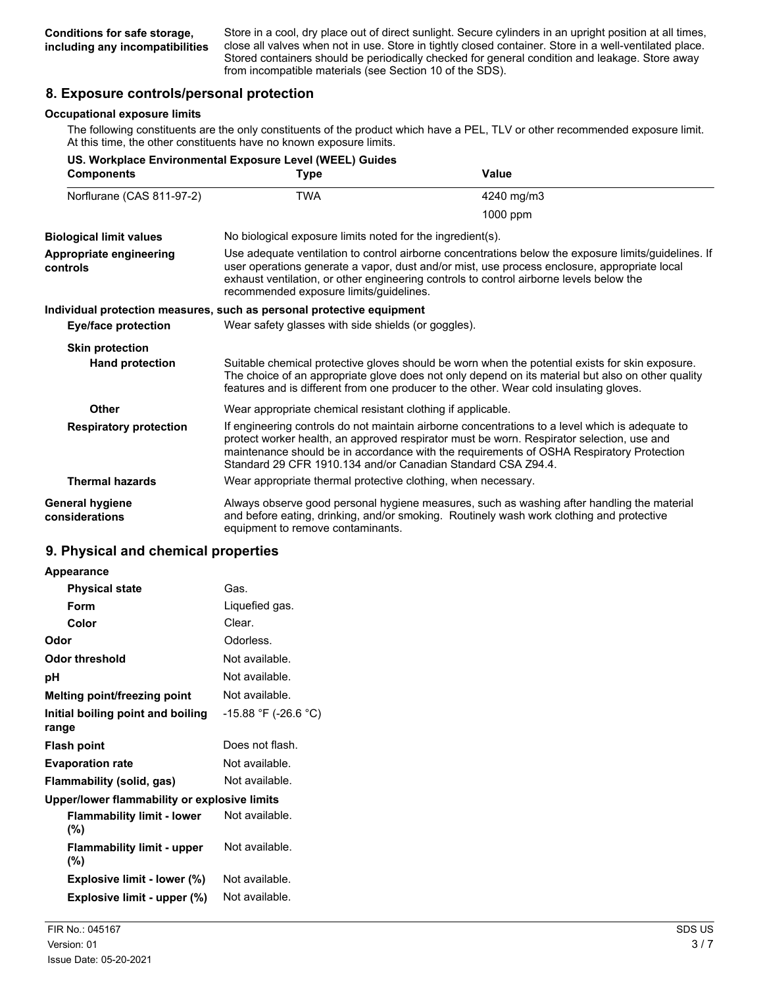Store in a cool, dry place out of direct sunlight. Secure cylinders in an upright position at all times, close all valves when not in use. Store in tightly closed container. Store in a well-ventilated place. Stored containers should be periodically checked for general condition and leakage. Store away from incompatible materials (see Section 10 of the SDS).

### **8. Exposure controls/personal protection**

#### **Occupational exposure limits**

The following constituents are the only constituents of the product which have a PEL, TLV or other recommended exposure limit. At this time, the other constituents have no known exposure limits.

|                                     | US. Workplace Environmental Exposure Level (WEEL) Guides                                                                                                                                                                                                                                                                                                 |                                                                                                                                                                                                                                                                                                |
|-------------------------------------|----------------------------------------------------------------------------------------------------------------------------------------------------------------------------------------------------------------------------------------------------------------------------------------------------------------------------------------------------------|------------------------------------------------------------------------------------------------------------------------------------------------------------------------------------------------------------------------------------------------------------------------------------------------|
| <b>Components</b>                   | <b>Type</b>                                                                                                                                                                                                                                                                                                                                              | Value                                                                                                                                                                                                                                                                                          |
| Norflurane (CAS 811-97-2)           | <b>TWA</b>                                                                                                                                                                                                                                                                                                                                               | 4240 mg/m3                                                                                                                                                                                                                                                                                     |
|                                     |                                                                                                                                                                                                                                                                                                                                                          | 1000 ppm                                                                                                                                                                                                                                                                                       |
| <b>Biological limit values</b>      | No biological exposure limits noted for the ingredient(s).                                                                                                                                                                                                                                                                                               |                                                                                                                                                                                                                                                                                                |
| Appropriate engineering<br>controls | Use adequate ventilation to control airborne concentrations below the exposure limits/guidelines. If<br>user operations generate a vapor, dust and/or mist, use process enclosure, appropriate local<br>exhaust ventilation, or other engineering controls to control airborne levels below the<br>recommended exposure limits/guidelines.               |                                                                                                                                                                                                                                                                                                |
|                                     | Individual protection measures, such as personal protective equipment                                                                                                                                                                                                                                                                                    |                                                                                                                                                                                                                                                                                                |
| <b>Eye/face protection</b>          | Wear safety glasses with side shields (or goggles).                                                                                                                                                                                                                                                                                                      |                                                                                                                                                                                                                                                                                                |
| <b>Skin protection</b>              |                                                                                                                                                                                                                                                                                                                                                          |                                                                                                                                                                                                                                                                                                |
| <b>Hand protection</b>              |                                                                                                                                                                                                                                                                                                                                                          | Suitable chemical protective gloves should be worn when the potential exists for skin exposure.<br>The choice of an appropriate glove does not only depend on its material but also on other quality<br>features and is different from one producer to the other. Wear cold insulating gloves. |
| Other                               | Wear appropriate chemical resistant clothing if applicable.                                                                                                                                                                                                                                                                                              |                                                                                                                                                                                                                                                                                                |
| <b>Respiratory protection</b>       | If engineering controls do not maintain airborne concentrations to a level which is adequate to<br>protect worker health, an approved respirator must be worn. Respirator selection, use and<br>maintenance should be in accordance with the requirements of OSHA Respiratory Protection<br>Standard 29 CFR 1910.134 and/or Canadian Standard CSA Z94.4. |                                                                                                                                                                                                                                                                                                |
| <b>Thermal hazards</b>              | Wear appropriate thermal protective clothing, when necessary.                                                                                                                                                                                                                                                                                            |                                                                                                                                                                                                                                                                                                |
| General hygiene<br>considerations   | equipment to remove contaminants.                                                                                                                                                                                                                                                                                                                        | Always observe good personal hygiene measures, such as washing after handling the material<br>and before eating, drinking, and/or smoking. Routinely wash work clothing and protective                                                                                                         |

#### **9. Physical and chemical properties**

| Appearance                                   |                      |
|----------------------------------------------|----------------------|
| Physical state                               | Gas.                 |
| Form                                         | Liquefied gas.       |
| Color                                        | Clear.               |
| Odor                                         | Odorless.            |
| Odor threshold                               | Not available.       |
| рH                                           | Not available.       |
| Melting point/freezing point                 | Not available.       |
| Initial boiling point and boiling<br>range   | -15.88 °F (-26.6 °C) |
| <b>Flash point</b>                           | Does not flash.      |
| <b>Evaporation rate</b>                      | Not available.       |
| Flammability (solid, gas)                    | Not available.       |
| Upper/lower flammability or explosive limits |                      |
| <b>Flammability limit - lower</b><br>(%)     | Not available.       |
| <b>Flammability limit - upper</b><br>(%)     | Not available.       |
| Explosive limit - lower (%)                  | Not available.       |
| Explosive limit - upper (%)                  | Not available.       |
|                                              |                      |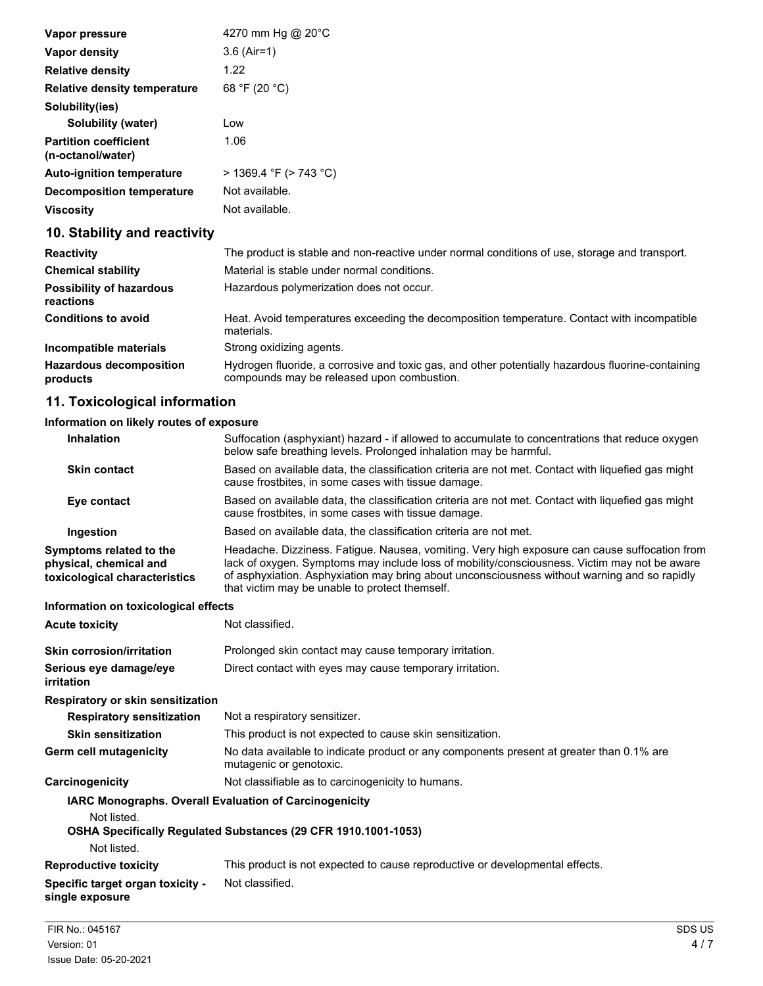| Vapor pressure                                    | 4270 mm Hg @ 20°C           |
|---------------------------------------------------|-----------------------------|
| Vapor density                                     | $3.6$ (Air=1)               |
| <b>Relative density</b>                           | 1.22                        |
| <b>Relative density temperature</b>               | 68 °F (20 °C)               |
| Solubility(ies)                                   |                             |
| Solubility (water)                                | Low                         |
| <b>Partition coefficient</b><br>(n-octanol/water) | 1.06                        |
| <b>Auto-ignition temperature</b>                  | $>$ 1369.4 °F ( $>$ 743 °C) |
| <b>Decomposition temperature</b>                  | Not available.              |
| <b>Viscosity</b>                                  | Not available.              |

## **10. Stability and reactivity**

| <b>Reactivity</b>                            | The product is stable and non-reactive under normal conditions of use, storage and transport.                                                   |
|----------------------------------------------|-------------------------------------------------------------------------------------------------------------------------------------------------|
| <b>Chemical stability</b>                    | Material is stable under normal conditions.                                                                                                     |
| <b>Possibility of hazardous</b><br>reactions | Hazardous polymerization does not occur.                                                                                                        |
| <b>Conditions to avoid</b>                   | Heat. Avoid temperatures exceeding the decomposition temperature. Contact with incompatible<br>materials.                                       |
| Incompatible materials                       | Strong oxidizing agents.                                                                                                                        |
| <b>Hazardous decomposition</b><br>products   | Hydrogen fluoride, a corrosive and toxic gas, and other potentially hazardous fluorine-containing<br>compounds may be released upon combustion. |

## **11. Toxicological information**

#### **Information on likely routes of exposure**

| <b>Inhalation</b>                                                                  | Suffocation (asphyxiant) hazard - if allowed to accumulate to concentrations that reduce oxygen<br>below safe breathing levels. Prolonged inhalation may be harmful.                                                                                                                                                                            |
|------------------------------------------------------------------------------------|-------------------------------------------------------------------------------------------------------------------------------------------------------------------------------------------------------------------------------------------------------------------------------------------------------------------------------------------------|
| <b>Skin contact</b>                                                                | Based on available data, the classification criteria are not met. Contact with liquefied gas might<br>cause frostbites, in some cases with tissue damage.                                                                                                                                                                                       |
| Eye contact                                                                        | Based on available data, the classification criteria are not met. Contact with liquefied gas might<br>cause frostbites, in some cases with tissue damage.                                                                                                                                                                                       |
| Ingestion                                                                          | Based on available data, the classification criteria are not met.                                                                                                                                                                                                                                                                               |
| Symptoms related to the<br>physical, chemical and<br>toxicological characteristics | Headache. Dizziness. Fatigue. Nausea, vomiting. Very high exposure can cause suffocation from<br>lack of oxygen. Symptoms may include loss of mobility/consciousness. Victim may not be aware<br>of asphyxiation. Asphyxiation may bring about unconsciousness without warning and so rapidly<br>that victim may be unable to protect themself. |
| Information on toxicological effects                                               |                                                                                                                                                                                                                                                                                                                                                 |
| <b>Acute toxicity</b>                                                              | Not classified.                                                                                                                                                                                                                                                                                                                                 |
| <b>Skin corrosion/irritation</b>                                                   | Prolonged skin contact may cause temporary irritation.                                                                                                                                                                                                                                                                                          |
| Serious eye damage/eye<br>irritation                                               | Direct contact with eyes may cause temporary irritation.                                                                                                                                                                                                                                                                                        |
| Respiratory or skin sensitization                                                  |                                                                                                                                                                                                                                                                                                                                                 |
| <b>Respiratory sensitization</b>                                                   | Not a respiratory sensitizer.                                                                                                                                                                                                                                                                                                                   |
| <b>Skin sensitization</b>                                                          | This product is not expected to cause skin sensitization.                                                                                                                                                                                                                                                                                       |
| <b>Germ cell mutagenicity</b>                                                      | No data available to indicate product or any components present at greater than 0.1% are<br>mutagenic or genotoxic.                                                                                                                                                                                                                             |
| Carcinogenicity                                                                    | Not classifiable as to carcinogenicity to humans.                                                                                                                                                                                                                                                                                               |
| <b>IARC Monographs. Overall Evaluation of Carcinogenicity</b><br>Not listed.       |                                                                                                                                                                                                                                                                                                                                                 |
| Not listed.                                                                        | OSHA Specifically Regulated Substances (29 CFR 1910.1001-1053)                                                                                                                                                                                                                                                                                  |
| <b>Reproductive toxicity</b>                                                       | This product is not expected to cause reproductive or developmental effects.                                                                                                                                                                                                                                                                    |
| Specific target organ toxicity -<br>single exposure                                | Not classified.                                                                                                                                                                                                                                                                                                                                 |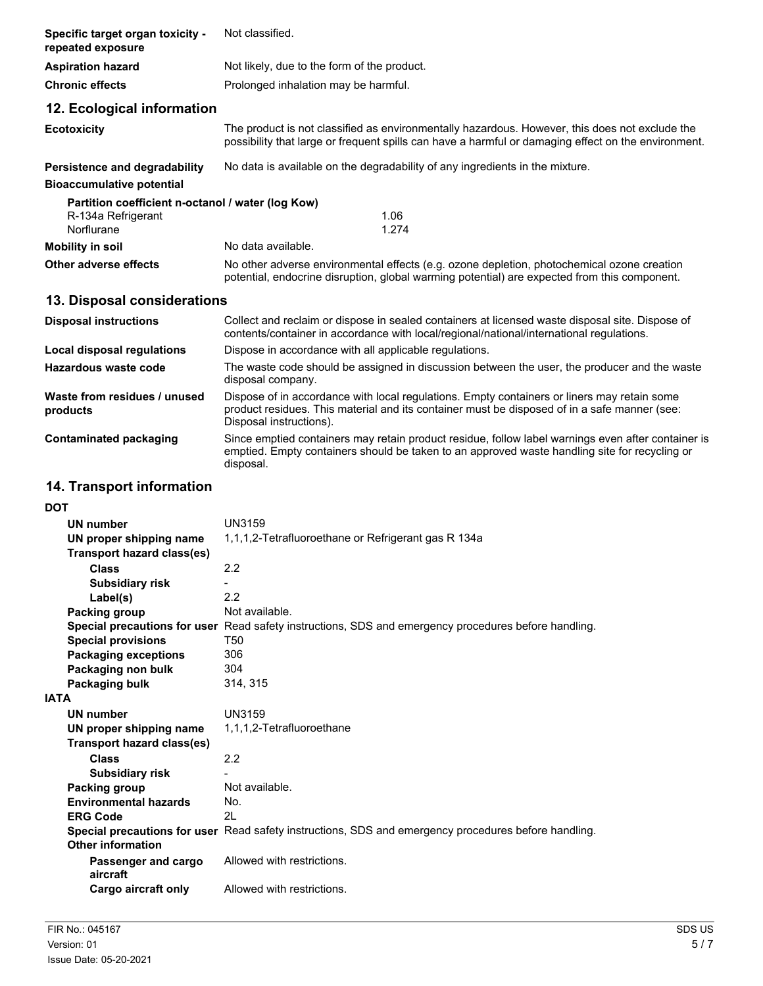| Specific target organ toxicity -<br>repeated exposure                                 | Not classified.                                                                                                                                                                                                        |
|---------------------------------------------------------------------------------------|------------------------------------------------------------------------------------------------------------------------------------------------------------------------------------------------------------------------|
| <b>Aspiration hazard</b>                                                              | Not likely, due to the form of the product.                                                                                                                                                                            |
| <b>Chronic effects</b>                                                                | Prolonged inhalation may be harmful.                                                                                                                                                                                   |
| 12. Ecological information                                                            |                                                                                                                                                                                                                        |
| <b>Ecotoxicity</b>                                                                    | The product is not classified as environmentally hazardous. However, this does not exclude the<br>possibility that large or frequent spills can have a harmful or damaging effect on the environment.                  |
| Persistence and degradability                                                         | No data is available on the degradability of any ingredients in the mixture.                                                                                                                                           |
| <b>Bioaccumulative potential</b><br>Partition coefficient n-octanol / water (log Kow) |                                                                                                                                                                                                                        |
| R-134a Refrigerant<br>Norflurane                                                      | 1.06<br>1.274                                                                                                                                                                                                          |
| <b>Mobility in soil</b>                                                               | No data available.                                                                                                                                                                                                     |
| Other adverse effects                                                                 | No other adverse environmental effects (e.g. ozone depletion, photochemical ozone creation<br>potential, endocrine disruption, global warming potential) are expected from this component.                             |
| 13. Disposal considerations                                                           |                                                                                                                                                                                                                        |
| <b>Disposal instructions</b>                                                          | Collect and reclaim or dispose in sealed containers at licensed waste disposal site. Dispose of<br>contents/container in accordance with local/regional/national/international regulations.                            |
| Local disposal regulations                                                            | Dispose in accordance with all applicable regulations.                                                                                                                                                                 |
| <b>Hazardous waste code</b>                                                           | The waste code should be assigned in discussion between the user, the producer and the waste<br>disposal company.                                                                                                      |
| Waste from residues / unused<br>products                                              | Dispose of in accordance with local regulations. Empty containers or liners may retain some<br>product residues. This material and its container must be disposed of in a safe manner (see:<br>Disposal instructions). |
| <b>Contaminated packaging</b>                                                         | Since emptied containers may retain product residue, follow label warnings even after container is<br>emptied. Empty containers should be taken to an approved waste handling site for recycling or<br>disposal.       |
| 14. Transport information                                                             |                                                                                                                                                                                                                        |
| DOT                                                                                   |                                                                                                                                                                                                                        |
| UN number                                                                             | UN3159                                                                                                                                                                                                                 |
| UN proper shipping name<br><b>Transport hazard class(es)</b>                          | 1,1,1,2-Tetrafluoroethane or Refrigerant gas R 134a                                                                                                                                                                    |
| <b>Class</b>                                                                          | 2.2                                                                                                                                                                                                                    |
| <b>Subsidiary risk</b>                                                                | -                                                                                                                                                                                                                      |
| Label(s)                                                                              | 2.2                                                                                                                                                                                                                    |
| <b>Packing group</b>                                                                  | Not available.                                                                                                                                                                                                         |
| <b>Special provisions</b>                                                             | Special precautions for user Read safety instructions, SDS and emergency procedures before handling.<br>T <sub>50</sub>                                                                                                |
| <b>Packaging exceptions</b>                                                           | 306                                                                                                                                                                                                                    |
| Packaging non bulk                                                                    | 304                                                                                                                                                                                                                    |
| Packaging bulk                                                                        | 314, 315                                                                                                                                                                                                               |
| <b>IATA</b>                                                                           |                                                                                                                                                                                                                        |
| <b>UN number</b>                                                                      | <b>UN3159</b>                                                                                                                                                                                                          |
| UN proper shipping name<br><b>Transport hazard class(es)</b>                          | 1,1,1,2-Tetrafluoroethane                                                                                                                                                                                              |
| <b>Class</b>                                                                          | 2.2                                                                                                                                                                                                                    |
| <b>Subsidiary risk</b>                                                                |                                                                                                                                                                                                                        |
| <b>Packing group</b>                                                                  | Not available.                                                                                                                                                                                                         |
| <b>Environmental hazards</b>                                                          | No.                                                                                                                                                                                                                    |
| <b>ERG Code</b>                                                                       | 2L                                                                                                                                                                                                                     |

**Passenger and cargo** Allowed with restrictions.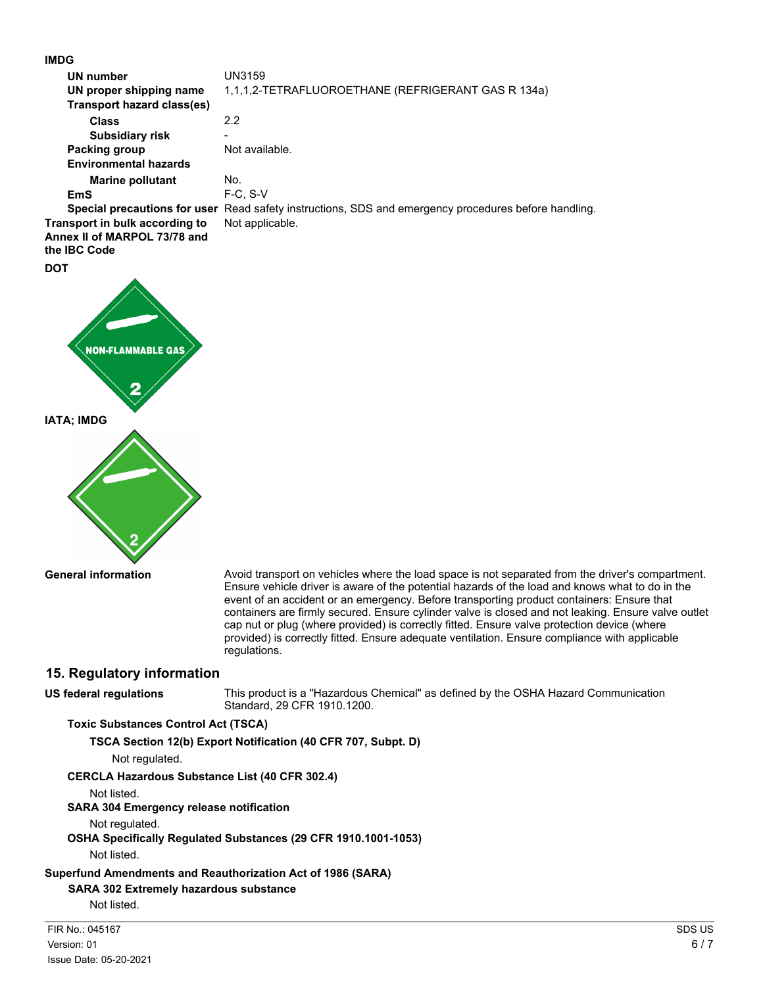**IMDG**

| IMDG                              |                                                                                                      |
|-----------------------------------|------------------------------------------------------------------------------------------------------|
| <b>UN number</b>                  | <b>UN3159</b>                                                                                        |
| UN proper shipping name           | 1,1,1,2-TETRAFLUOROETHANE (REFRIGERANT GAS R 134a)                                                   |
| <b>Transport hazard class(es)</b> |                                                                                                      |
| <b>Class</b>                      | 2.2                                                                                                  |
| <b>Subsidiary risk</b>            |                                                                                                      |
| Packing group                     | Not available.                                                                                       |
| <b>Environmental hazards</b>      |                                                                                                      |
| <b>Marine pollutant</b>           | No.                                                                                                  |
| <b>EmS</b>                        | $F-C$ , $S-V$                                                                                        |
|                                   | Special precautions for user Read safety instructions, SDS and emergency procedures before handling. |
| Transport in bulk according to    | Not applicable.                                                                                      |
| Annex II of MARPOL 73/78 and      |                                                                                                      |
| the <b>IBC</b> Code               |                                                                                                      |
| <b>DOT</b>                        |                                                                                                      |
| <b>NON-FLAMMABLE GAS</b><br>2     |                                                                                                      |

**IATA; IMDG**



**General information**

Avoid transport on vehicles where the load space is not separated from the driver's compartment. Ensure vehicle driver is aware of the potential hazards of the load and knows what to do in the event of an accident or an emergency. Before transporting product containers: Ensure that containers are firmly secured. Ensure cylinder valve is closed and not leaking. Ensure valve outlet cap nut or plug (where provided) is correctly fitted. Ensure valve protection device (where provided) is correctly fitted. Ensure adequate ventilation. Ensure compliance with applicable regulations.

## **15. Regulatory information**

**US federal regulations**

This product is a "Hazardous Chemical" as defined by the OSHA Hazard Communication Standard, 29 CFR 1910.1200.

### **Toxic Substances Control Act (TSCA)**

**TSCA Section 12(b) Export Notification (40 CFR 707, Subpt. D)**

Not regulated.

## **CERCLA Hazardous Substance List (40 CFR 302.4)**

Not listed.

## **SARA 304 Emergency release notification**

Not regulated.

**OSHA Specifically Regulated Substances (29 CFR 1910.1001-1053)**

Not listed.

## **Superfund Amendments and Reauthorization Act of 1986 (SARA)**

## **SARA 302 Extremely hazardous substance**

Not listed.